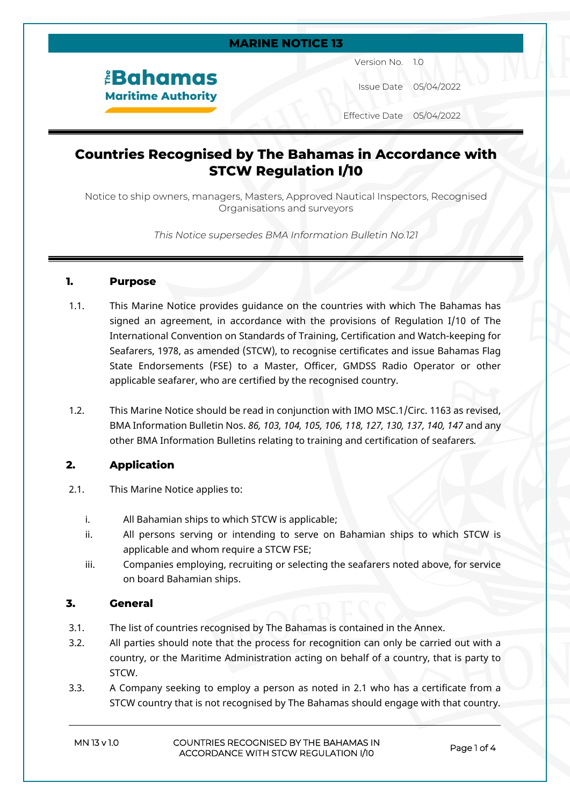#### **MARINE NOTICE 13**

# *<u><b>EBahamas</u>* **Maritime Authority**

Version No. 1.0

Issue Date 05/04/2022

Effective Date 05/04/2022

## **Countries Recognised by The Bahamas in Accordance with STCW Regulation I/10**

Notice to ship owners, managers, Masters, Approved Nautical Inspectors, Recognised Organisations and surveyors

*This Notice supersedes BMA Information Bulletin No.121*

#### **1. Purpose**

- 1.1. This Marine Notice provides guidance on the countries with which The Bahamas has signed an agreement, in accordance with the provisions of Regulation I/10 of The International Convention on Standards of Training, Certification and Watch-keeping for Seafarers, 1978, as amended (STCW), to recognise certificates and issue Bahamas Flag State Endorsements (FSE) to a Master, Officer, GMDSS Radio Operator or other applicable seafarer, who are certified by the recognised country.
- 1.2. This Marine Notice should be read in conjunction with IMO MSC.1/Circ. 1163 as revised, BMA Information Bulletin Nos. *86, 103, 104, 105, 106, 118, 127, 130, 137, 140, 147* and any other BMA Information Bulletins relating to training and certification of seafarers*.*

#### **2. Application**

- 2.1. This Marine Notice applies to:
	- i. All Bahamian ships to which STCW is applicable;
	- ii. All persons serving or intending to serve on Bahamian ships to which STCW is applicable and whom require a STCW FSE;
	- iii. Companies employing, recruiting or selecting the seafarers noted above, for service on board Bahamian ships.

#### **3. General**

- 3.1. The list of countries recognised by The Bahamas is contained in the Annex.
- 3.2. All parties should note that the process for recognition can only be carried out with a country, or the Maritime Administration acting on behalf of a country, that is party to STCW.
- 3.3. A Company seeking to employ a person as noted in 2.1 who has a certificate from a STCW country that is not recognised by The Bahamas should engage with that country.

#### **MN 13 v 1.0 COUNTRIES RECOGNISED BY THE BAHAMAS IN ACCORDANCE WITH STCW REGULATION I/10 Page 1 of 4**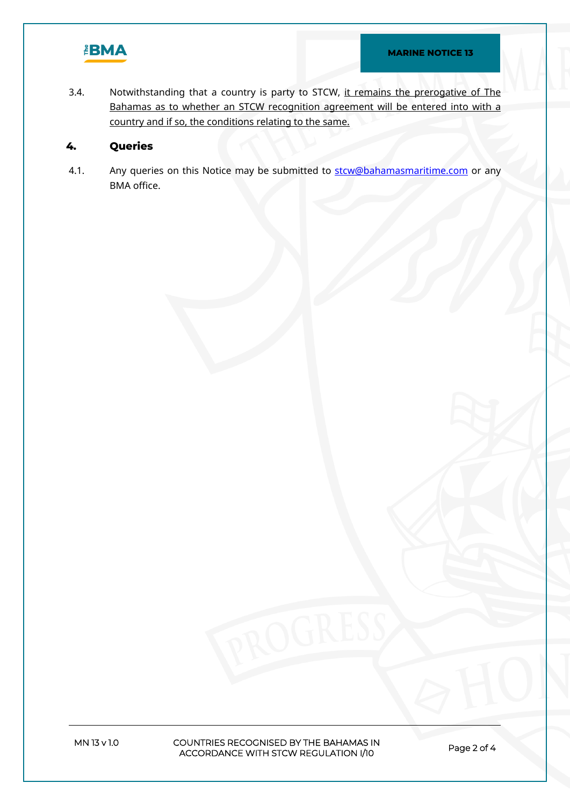

3.4. Notwithstanding that a country is party to STCW, it remains the prerogative of The Bahamas as to whether an STCW recognition agreement will be entered into with a country and if so, the conditions relating to the same.

#### **4. Queries**

4.1. Any queries on this Notice may be submitted to star Cobahamas maritime.com or any BMA office.

**MN 13 v 1.0 COUNTRIES RECOGNISED BY THE BAHAMAS IN ACCORDANCE WITH STCW REGULATION I/10 Page 2 of 4**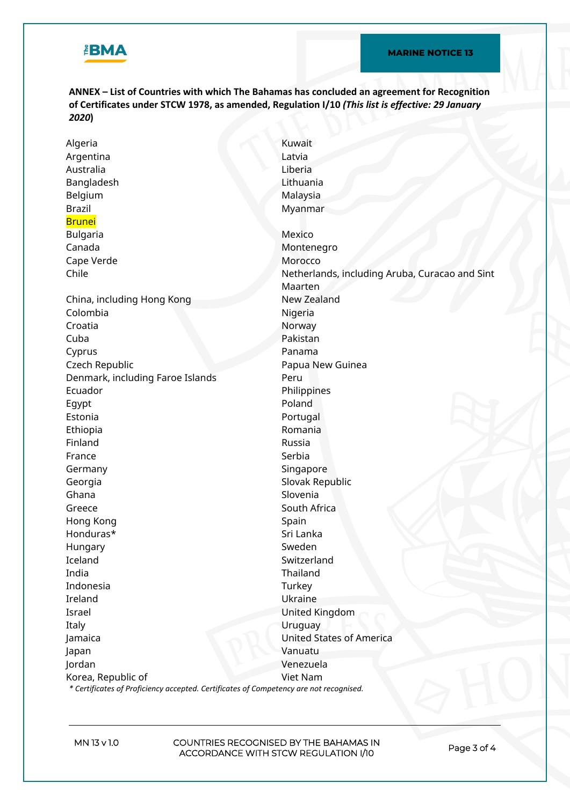

**ANNEX – List of Countries with which The Bahamas has concluded an agreement for Recognition of Certificates under STCW 1978, as amended, Regulation I/10** *(This list is effective: 29 January 2020***)**

Algeria Kuwait Argentina Latvia Australia Liberia Bangladesh Lithuania Belgium Malaysia Brazil Brunei Myanmar Bulgaria **Mexico** Mexico Canada Montenegro Cape Verde **Morocco** Morocco Chile **Netherlands, including Aruba, Curacao and Sint** Maarten China, including Hong Kong New Zealand Colombia Nigeria Croatia Norway Cuba Pakistan Cyprus Panama Czech Republic **Papua New Guinea** Denmark, including Faroe Islands Peru Ecuador **Philippines** Egypt Poland Estonia **Portugal** Ethiopia Romania Finland Russia France Serbia Germany **Singapore** Georgia **Slovak Republic** Ghana **Slovenia** Greece South Africa Hong Kong Spain Spain Spain Honduras\* Sri Lanka Hungary Sweden Iceland Switzerland Switzerland India Thailand Indonesia Turkey Ireland Ukraine Israel United Kingdom Italy Uruguay Jamaica United States of America Japan Vanuatu Jordan Venezuela Korea, Republic of Viet Nam

*\* Certificates of Proficiency accepted. Certificates of Competency are not recognised.*

**MN 13 v 1.0 COUNTRIES RECOGNISED BY THE BAHAMAS IN ACCORDANCE WITH STCW REGULATION I/10 Page 3 of 4**